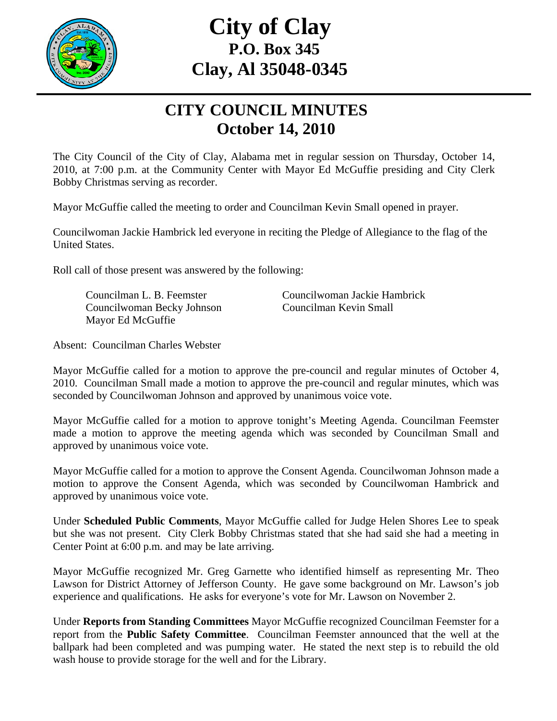

## **City of Clay P.O. Box 345 Clay, Al 35048-0345**

## **CITY COUNCIL MINUTES October 14, 2010**

The City Council of the City of Clay, Alabama met in regular session on Thursday, October 14, 2010, at 7:00 p.m. at the Community Center with Mayor Ed McGuffie presiding and City Clerk Bobby Christmas serving as recorder.

Mayor McGuffie called the meeting to order and Councilman Kevin Small opened in prayer.

Councilwoman Jackie Hambrick led everyone in reciting the Pledge of Allegiance to the flag of the United States.

Roll call of those present was answered by the following:

 Councilwoman Becky Johnson Councilman Kevin Small Mayor Ed McGuffie

Councilman L. B. Feemster Councilwoman Jackie Hambrick

Absent: Councilman Charles Webster

Mayor McGuffie called for a motion to approve the pre-council and regular minutes of October 4, 2010. Councilman Small made a motion to approve the pre-council and regular minutes, which was seconded by Councilwoman Johnson and approved by unanimous voice vote.

Mayor McGuffie called for a motion to approve tonight's Meeting Agenda. Councilman Feemster made a motion to approve the meeting agenda which was seconded by Councilman Small and approved by unanimous voice vote.

Mayor McGuffie called for a motion to approve the Consent Agenda. Councilwoman Johnson made a motion to approve the Consent Agenda, which was seconded by Councilwoman Hambrick and approved by unanimous voice vote.

Under **Scheduled Public Comments**, Mayor McGuffie called for Judge Helen Shores Lee to speak but she was not present. City Clerk Bobby Christmas stated that she had said she had a meeting in Center Point at 6:00 p.m. and may be late arriving.

Mayor McGuffie recognized Mr. Greg Garnette who identified himself as representing Mr. Theo Lawson for District Attorney of Jefferson County. He gave some background on Mr. Lawson's job experience and qualifications. He asks for everyone's vote for Mr. Lawson on November 2.

Under **Reports from Standing Committees** Mayor McGuffie recognized Councilman Feemster for a report from the **Public Safety Committee**. Councilman Feemster announced that the well at the ballpark had been completed and was pumping water. He stated the next step is to rebuild the old wash house to provide storage for the well and for the Library.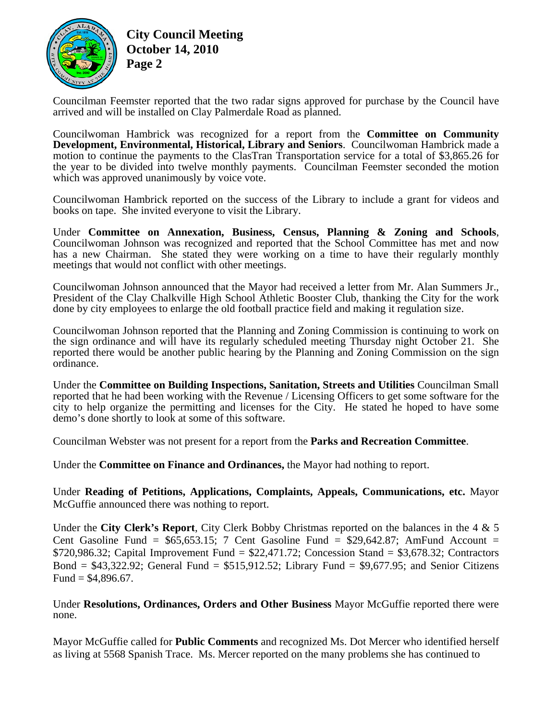

**City Council Meeting October 14, 2010 Page 2** 

Councilman Feemster reported that the two radar signs approved for purchase by the Council have arrived and will be installed on Clay Palmerdale Road as planned.

Councilwoman Hambrick was recognized for a report from the **Committee on Community Development, Environmental, Historical, Library and Seniors**. Councilwoman Hambrick made a motion to continue the payments to the ClasTran Transportation service for a total of \$3,865.26 for the year to be divided into twelve monthly payments. Councilman Feemster seconded the motion which was approved unanimously by voice vote.

Councilwoman Hambrick reported on the success of the Library to include a grant for videos and books on tape. She invited everyone to visit the Library.

Under **Committee on Annexation, Business, Census, Planning & Zoning and Schools**, Councilwoman Johnson was recognized and reported that the School Committee has met and now has a new Chairman. She stated they were working on a time to have their regularly monthly meetings that would not conflict with other meetings.

Councilwoman Johnson announced that the Mayor had received a letter from Mr. Alan Summers Jr., President of the Clay Chalkville High School Athletic Booster Club, thanking the City for the work done by city employees to enlarge the old football practice field and making it regulation size.

Councilwoman Johnson reported that the Planning and Zoning Commission is continuing to work on the sign ordinance and will have its regularly scheduled meeting Thursday night October 21. She reported there would be another public hearing by the Planning and Zoning Commission on the sign ordinance.

Under the **Committee on Building Inspections, Sanitation, Streets and Utilities** Councilman Small reported that he had been working with the Revenue / Licensing Officers to get some software for the city to help organize the permitting and licenses for the City. He stated he hoped to have some demo's done shortly to look at some of this software.

Councilman Webster was not present for a report from the **Parks and Recreation Committee**.

Under the **Committee on Finance and Ordinances,** the Mayor had nothing to report.

Under **Reading of Petitions, Applications, Complaints, Appeals, Communications, etc.** Mayor McGuffie announced there was nothing to report.

Under the **City Clerk's Report**, City Clerk Bobby Christmas reported on the balances in the 4 & 5 Cent Gasoline Fund =  $$65,653.15$ ; 7 Cent Gasoline Fund =  $$29,642.87$ ; AmFund Account =  $$720,986.32$ ; Capital Improvement Fund =  $$22,471.72$ ; Concession Stand =  $$3,678.32$ ; Contractors Bond =  $$43,322.92$ ; General Fund =  $$515,912.52$ ; Library Fund =  $$9,677.95$ ; and Senior Citizens Fund =  $$4,896.67$ .

Under **Resolutions, Ordinances, Orders and Other Business** Mayor McGuffie reported there were none.

Mayor McGuffie called for **Public Comments** and recognized Ms. Dot Mercer who identified herself as living at 5568 Spanish Trace. Ms. Mercer reported on the many problems she has continued to